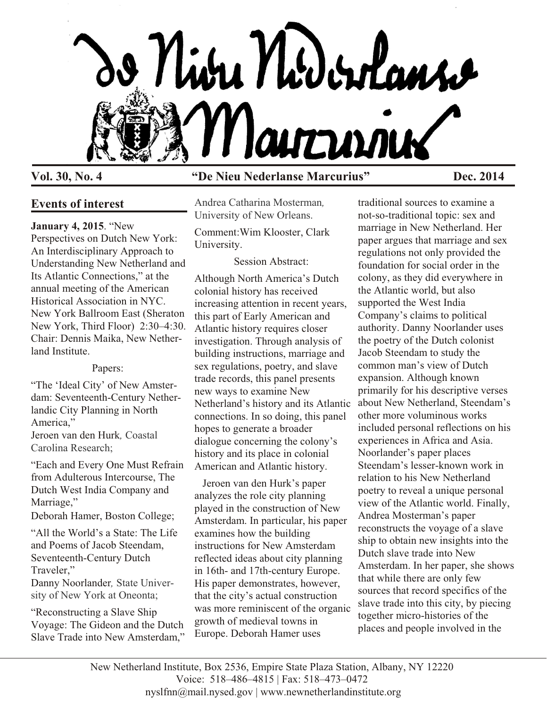

# **Events of interest**

## **January 4, 2015**. "New

Perspectives on Dutch New York: An Interdisciplinary Approach to Understanding New Netherland and Its Atlantic Connections," at the annual meeting of the American Historical Association in NYC. New York Ballroom East (Sheraton New York, Third Floor) 2:30–4:30. Chair: Dennis Maika, New Netherland Institute.

#### Papers:

"The 'Ideal City' of New Amsterdam: Seventeenth-Century Netherlandic City Planning in North America," Jeroen van den Hurk*,* Coastal Carolina Research;

"Each and Every One Must Refrain from Adulterous Intercourse, The Dutch West India Company and Marriage,"

Deborah Hamer, Boston College;

"All the World's a State: The Life and Poems of Jacob Steendam, Seventeenth-Century Dutch Traveler,"

Danny Noorlander*,* State University of New York at Oneonta;

"Reconstructing a Slave Ship Voyage: The Gideon and the Dutch Slave Trade into New Amsterdam,"

# **Vol. 30, No. 4 "De Nieu Nederlanse Marcurius" Dec. 2014**

Andrea Catharina Mosterman*,* University of New Orleans.

Comment:Wim Klooster, Clark University.

#### Session Abstract:

Although North America's Dutch colonial history has received increasing attention in recent years, this part of Early American and Atlantic history requires closer investigation. Through analysis of building instructions, marriage and sex regulations, poetry, and slave trade records, this panel presents new ways to examine New Netherland's history and its Atlantic connections. In so doing, this panel hopes to generate a broader dialogue concerning the colony's history and its place in colonial American and Atlantic history.

 Jeroen van den Hurk's paper analyzes the role city planning played in the construction of New Amsterdam. In particular, his paper examines how the building instructions for New Amsterdam reflected ideas about city planning in 16th- and 17th-century Europe. His paper demonstrates, however, that the city's actual construction was more reminiscent of the organic growth of medieval towns in Europe. Deborah Hamer uses

traditional sources to examine a not-so-traditional topic: sex and marriage in New Netherland. Her paper argues that marriage and sex regulations not only provided the foundation for social order in the colony, as they did everywhere in the Atlantic world, but also supported the West India Company's claims to political authority. Danny Noorlander uses the poetry of the Dutch colonist Jacob Steendam to study the common man's view of Dutch expansion. Although known primarily for his descriptive verses about New Netherland, Steendam's other more voluminous works included personal reflections on his experiences in Africa and Asia. Noorlander's paper places Steendam's lesser-known work in relation to his New Netherland poetry to reveal a unique personal view of the Atlantic world. Finally, Andrea Mosterman's paper reconstructs the voyage of a slave ship to obtain new insights into the Dutch slave trade into New Amsterdam. In her paper, she shows that while there are only few sources that record specifics of the slave trade into this city, by piecing together micro-histories of the places and people involved in the

New Netherland Institute, Box 2536, Empire State Plaza Station, Albany, NY 12220 Voice: 518–486–4815 | Fax: 518–473–0472 nyslfnn@mail.nysed.gov | www.newnetherlandinstitute.org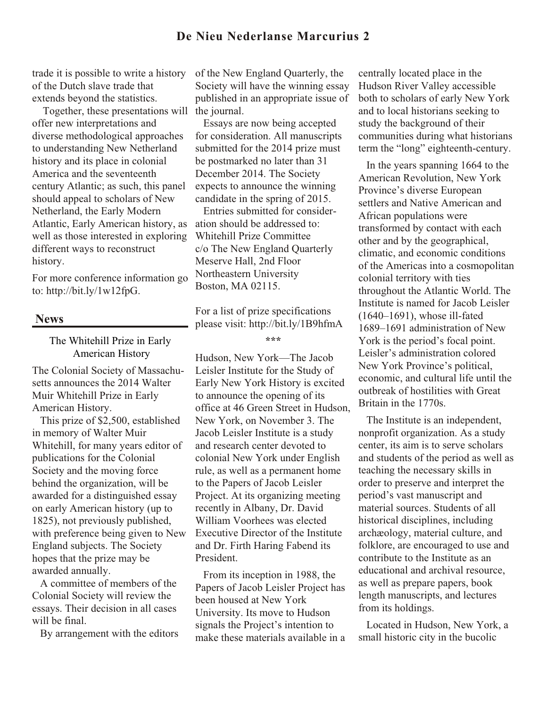# **De Nieu Nederlanse Marcurius 2**

trade it is possible to write a history of the Dutch slave trade that extends beyond the statistics.

 Together, these presentations will the journal. offer new interpretations and diverse methodological approaches to understanding New Netherland history and its place in colonial America and the seventeenth century Atlantic; as such, this panel should appeal to scholars of New Netherland, the Early Modern Atlantic, Early American history, as well as those interested in exploring different ways to reconstruct history.

For more conference information go to: http://bit.ly/1w12fpG.

#### **News**

The Whitehill Prize in Early American History

The Colonial Society of Massachusetts announces the 2014 Walter Muir Whitehill Prize in Early American History.

 This prize of \$2,500, established in memory of Walter Muir Whitehill, for many years editor of publications for the Colonial Society and the moving force behind the organization, will be awarded for a distinguished essay on early American history (up to 1825), not previously published, with preference being given to New England subjects. The Society hopes that the prize may be awarded annually.

 A committee of members of the Colonial Society will review the essays. Their decision in all cases will be final.

By arrangement with the editors

of the New England Quarterly, the Society will have the winning essay published in an appropriate issue of

 Essays are now being accepted for consideration. All manuscripts submitted for the 2014 prize must be postmarked no later than 31 December 2014. The Society expects to announce the winning candidate in the spring of 2015.

 Entries submitted for consideration should be addressed to: Whitehill Prize Committee c/o The New England Quarterly Meserve Hall, 2nd Floor Northeastern University Boston, MA 02115.

For a list of prize specifications please visit: http://bit.ly/1B9hfmA

**\*\*\***

Hudson, New York—The Jacob Leisler Institute for the Study of Early New York History is excited to announce the opening of its office at 46 Green Street in Hudson, New York, on November 3. The Jacob Leisler Institute is a study and research center devoted to colonial New York under English rule, as well as a permanent home to the Papers of Jacob Leisler Project. At its organizing meeting recently in Albany, Dr. David William Voorhees was elected Executive Director of the Institute and Dr. Firth Haring Fabend its President.

 From its inception in 1988, the Papers of Jacob Leisler Project has been housed at New York University. Its move to Hudson signals the Project's intention to make these materials available in a

centrally located place in the Hudson River Valley accessible both to scholars of early New York and to local historians seeking to study the background of their communities during what historians term the "long" eighteenth-century.

 In the years spanning 1664 to the American Revolution, New York Province's diverse European settlers and Native American and African populations were transformed by contact with each other and by the geographical, climatic, and economic conditions of the Americas into a cosmopolitan colonial territory with ties throughout the Atlantic World. The Institute is named for Jacob Leisler (1640–1691), whose ill-fated 1689–1691 administration of New York is the period's focal point. Leisler's administration colored New York Province's political, economic, and cultural life until the outbreak of hostilities with Great Britain in the 1770s.

 The Institute is an independent, nonprofit organization. As a study center, its aim is to serve scholars and students of the period as well as teaching the necessary skills in order to preserve and interpret the period's vast manuscript and material sources. Students of all historical disciplines, including archæology, material culture, and folklore, are encouraged to use and contribute to the Institute as an educational and archival resource, as well as prepare papers, book length manuscripts, and lectures from its holdings.

 Located in Hudson, New York, a small historic city in the bucolic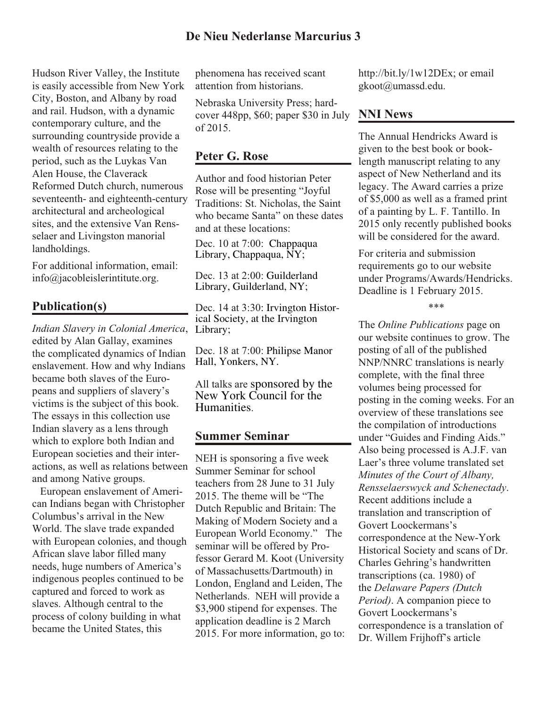Hudson River Valley, the Institute is easily accessible from New York City, Boston, and Albany by road and rail. Hudson, with a dynamic contemporary culture, and the surrounding countryside provide a wealth of resources relating to the period, such as the Luykas Van Alen House, the Claverack Reformed Dutch church, numerous seventeenth- and eighteenth-century architectural and archeological sites, and the extensive Van Rensselaer and Livingston manorial landholdings.

For additional information, email: info@jacobleislerintitute.org.

# **Publication(s)**

*Indian Slavery in Colonial America*, edited by Alan Gallay, examines the complicated dynamics of Indian enslavement. How and why Indians became both slaves of the Europeans and suppliers of slavery's victims is the subject of this book. The essays in this collection use Indian slavery as a lens through which to explore both Indian and European societies and their interactions, as well as relations between and among Native groups.

 European enslavement of American Indians began with Christopher Columbus's arrival in the New World. The slave trade expanded with European colonies, and though African slave labor filled many needs, huge numbers of America's indigenous peoples continued to be captured and forced to work as slaves. Although central to the process of colony building in what became the United States, this

phenomena has received scant attention from historians.

Nebraska University Press; hardcover 448pp, \$60; paper \$30 in July of 2015.

#### **Peter G. Rose**

Author and food historian Peter Rose will be presenting "Joyful Traditions: St. Nicholas, the Saint who became Santa" on these dates and at these locations:

Dec. 10 at 7:00: Chappaqua Library, Chappaqua, NY;

Dec. 13 at 2:00: Guilderland Library, Guilderland, NY;

Dec. 14 at 3:30: Irvington Historical Society, at the Irvington Library;

Dec. 18 at 7:00: Philipse Manor Hall, Yonkers, NY.

All talks are sponsored by the New York Council for the Humanities.

## **Summer Seminar**

NEH is sponsoring a five week Summer Seminar for school teachers from 28 June to 31 July 2015. The theme will be "The Dutch Republic and Britain: The Making of Modern Society and a European World Economy." The seminar will be offered by Professor Gerard M. Koot (University of Massachusetts/Dartmouth) in London, England and Leiden, The Netherlands. NEH will provide a \$3,900 stipend for expenses. The application deadline is 2 March 2015. For more information, go to: http://bit.ly/1w12DEx; or email gkoot@umassd.edu.

# **NNI News**

The Annual Hendricks Award is given to the best book or booklength manuscript relating to any aspect of New Netherland and its legacy. The Award carries a prize of \$5,000 as well as a framed print of a painting by L. F. Tantillo. In 2015 only recently published books will be considered for the award.

For criteria and submission requirements go to our website under Programs/Awards/Hendricks. Deadline is 1 February 2015.

#### \*\*\*

The *Online Publications* page on our website continues to grow. The posting of all of the published NNP/NNRC translations is nearly complete, with the final three volumes being processed for posting in the coming weeks. For an overview of these translations see the compilation of introductions under "Guides and Finding Aids." Also being processed is A.J.F. van Laer's three volume translated set *Minutes of the Court of Albany, Rensselaerswyck and Schenectady*. Recent additions include a translation and transcription of Govert Loockermans's correspondence at the New-York Historical Society and scans of Dr. Charles Gehring's handwritten transcriptions (ca. 1980) of the *Delaware Papers (Dutch Period)*. A companion piece to Govert Loockermans's correspondence is a translation of Dr. Willem Frijhoff's article